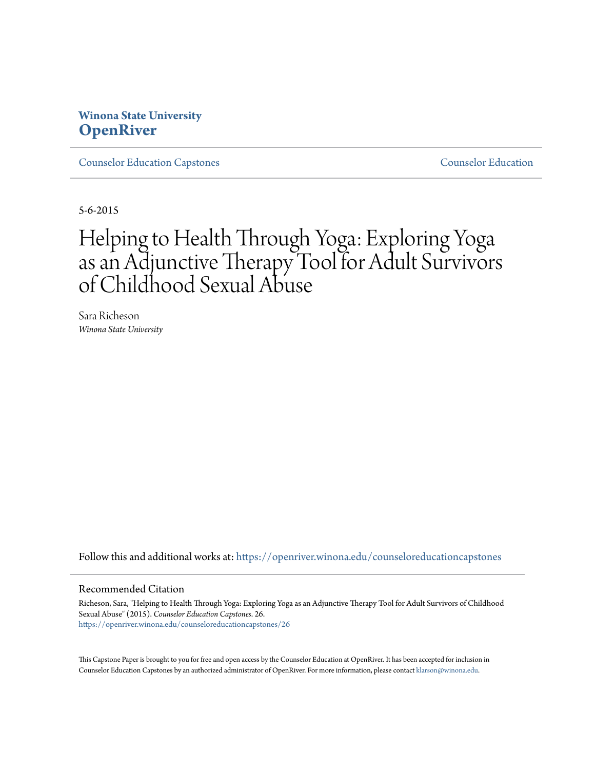## **Winona State University [OpenRiver](https://openriver.winona.edu?utm_source=openriver.winona.edu%2Fcounseloreducationcapstones%2F26&utm_medium=PDF&utm_campaign=PDFCoverPages)**

[Counselor Education Capstones](https://openriver.winona.edu/counseloreducationcapstones?utm_source=openriver.winona.edu%2Fcounseloreducationcapstones%2F26&utm_medium=PDF&utm_campaign=PDFCoverPages) [Counselor Education](https://openriver.winona.edu/counseloreducation?utm_source=openriver.winona.edu%2Fcounseloreducationcapstones%2F26&utm_medium=PDF&utm_campaign=PDFCoverPages)

5-6-2015

# Helping to Health Through Yoga: Exploring Yoga as an Adjunctive Therapy Tool for Adult Survivors of Childhood Sexual Abuse

Sara Richeson *Winona State University*

Follow this and additional works at: [https://openriver.winona.edu/counseloreducationcapstones](https://openriver.winona.edu/counseloreducationcapstones?utm_source=openriver.winona.edu%2Fcounseloreducationcapstones%2F26&utm_medium=PDF&utm_campaign=PDFCoverPages)

#### Recommended Citation

Richeson, Sara, "Helping to Health Through Yoga: Exploring Yoga as an Adjunctive Therapy Tool for Adult Survivors of Childhood Sexual Abuse" (2015). *Counselor Education Capstones*. 26. [https://openriver.winona.edu/counseloreducationcapstones/26](https://openriver.winona.edu/counseloreducationcapstones/26?utm_source=openriver.winona.edu%2Fcounseloreducationcapstones%2F26&utm_medium=PDF&utm_campaign=PDFCoverPages)

This Capstone Paper is brought to you for free and open access by the Counselor Education at OpenRiver. It has been accepted for inclusion in Counselor Education Capstones by an authorized administrator of OpenRiver. For more information, please contact [klarson@winona.edu](mailto:klarson@winona.edu).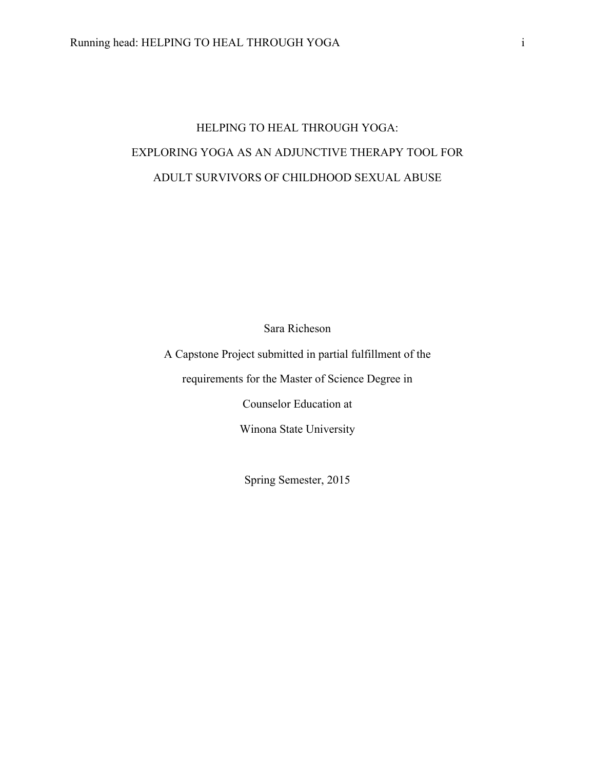## HELPING TO HEAL THROUGH YOGA: EXPLORING YOGA AS AN ADJUNCTIVE THERAPY TOOL FOR ADULT SURVIVORS OF CHILDHOOD SEXUAL ABUSE

Sara Richeson

A Capstone Project submitted in partial fulfillment of the

requirements for the Master of Science Degree in

Counselor Education at

Winona State University

Spring Semester, 2015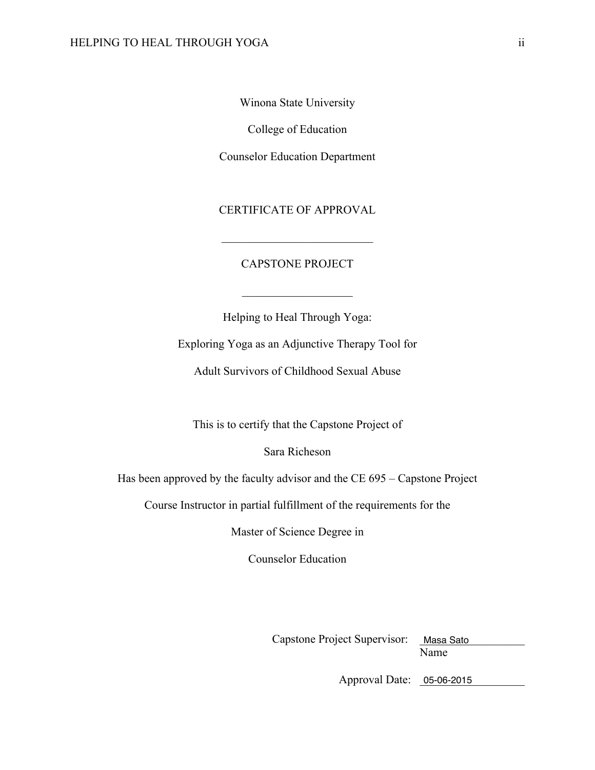Winona State University

College of Education

Counselor Education Department

CERTIFICATE OF APPROVAL

 $\mathcal{L}_\text{max}$  , where  $\mathcal{L}_\text{max}$  and  $\mathcal{L}_\text{max}$ 

### CAPSTONE PROJECT

Helping to Heal Through Yoga:

 $\overline{\phantom{a}}$  , where  $\overline{\phantom{a}}$ 

Exploring Yoga as an Adjunctive Therapy Tool for

Adult Survivors of Childhood Sexual Abuse

This is to certify that the Capstone Project of

Sara Richeson

Has been approved by the faculty advisor and the CE 695 – Capstone Project

Course Instructor in partial fulfillment of the requirements for the

Master of Science Degree in

Counselor Education

Capstone Project Supervisor: Masa Sato

Name

Approval Date: \_\_\_\_\_\_\_\_\_\_\_\_\_\_\_\_\_\_ 05-06-2015 Masa Sato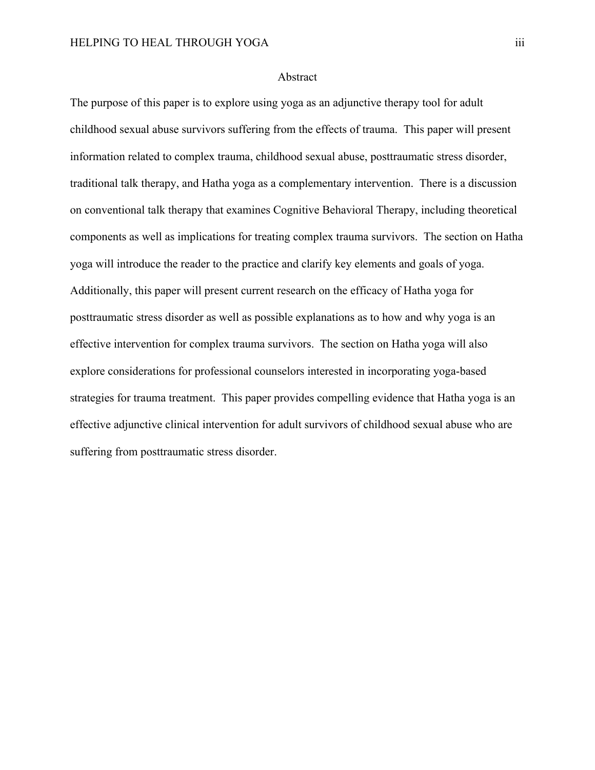#### Abstract

The purpose of this paper is to explore using yoga as an adjunctive therapy tool for adult childhood sexual abuse survivors suffering from the effects of trauma. This paper will present information related to complex trauma, childhood sexual abuse, posttraumatic stress disorder, traditional talk therapy, and Hatha yoga as a complementary intervention. There is a discussion on conventional talk therapy that examines Cognitive Behavioral Therapy, including theoretical components as well as implications for treating complex trauma survivors. The section on Hatha yoga will introduce the reader to the practice and clarify key elements and goals of yoga. Additionally, this paper will present current research on the efficacy of Hatha yoga for posttraumatic stress disorder as well as possible explanations as to how and why yoga is an effective intervention for complex trauma survivors. The section on Hatha yoga will also explore considerations for professional counselors interested in incorporating yoga-based strategies for trauma treatment. This paper provides compelling evidence that Hatha yoga is an effective adjunctive clinical intervention for adult survivors of childhood sexual abuse who are suffering from posttraumatic stress disorder.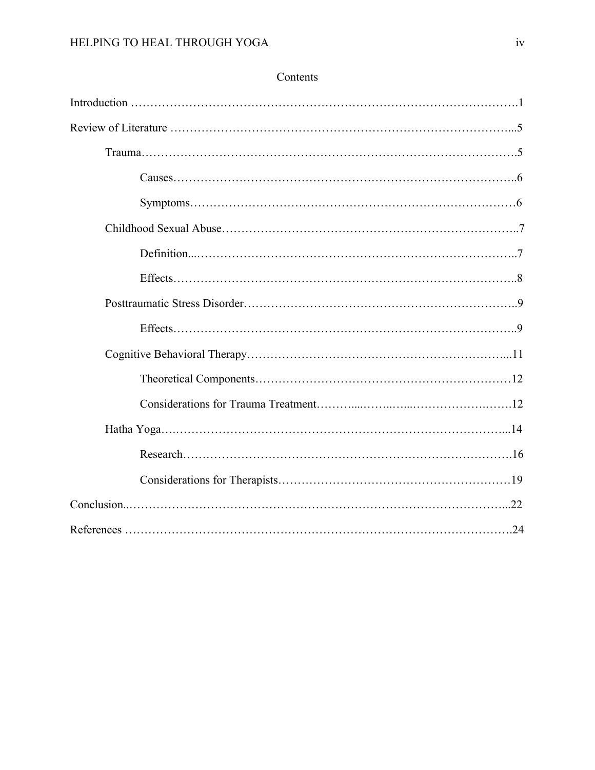## Contents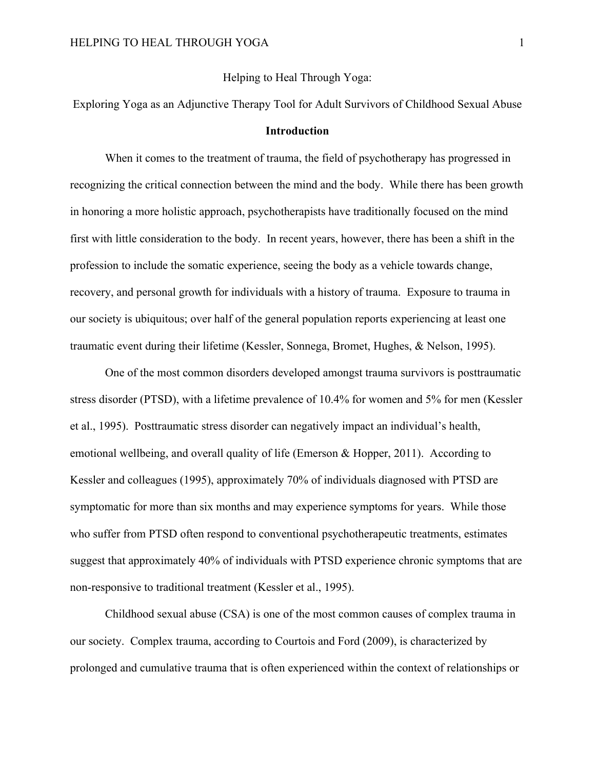#### Helping to Heal Through Yoga:

Exploring Yoga as an Adjunctive Therapy Tool for Adult Survivors of Childhood Sexual Abuse

#### **Introduction**

When it comes to the treatment of trauma, the field of psychotherapy has progressed in recognizing the critical connection between the mind and the body. While there has been growth in honoring a more holistic approach, psychotherapists have traditionally focused on the mind first with little consideration to the body. In recent years, however, there has been a shift in the profession to include the somatic experience, seeing the body as a vehicle towards change, recovery, and personal growth for individuals with a history of trauma. Exposure to trauma in our society is ubiquitous; over half of the general population reports experiencing at least one traumatic event during their lifetime (Kessler, Sonnega, Bromet, Hughes, & Nelson, 1995).

One of the most common disorders developed amongst trauma survivors is posttraumatic stress disorder (PTSD), with a lifetime prevalence of 10.4% for women and 5% for men (Kessler et al., 1995). Posttraumatic stress disorder can negatively impact an individual's health, emotional wellbeing, and overall quality of life (Emerson & Hopper, 2011). According to Kessler and colleagues (1995), approximately 70% of individuals diagnosed with PTSD are symptomatic for more than six months and may experience symptoms for years. While those who suffer from PTSD often respond to conventional psychotherapeutic treatments, estimates suggest that approximately 40% of individuals with PTSD experience chronic symptoms that are non-responsive to traditional treatment (Kessler et al., 1995).

Childhood sexual abuse (CSA) is one of the most common causes of complex trauma in our society. Complex trauma, according to Courtois and Ford (2009), is characterized by prolonged and cumulative trauma that is often experienced within the context of relationships or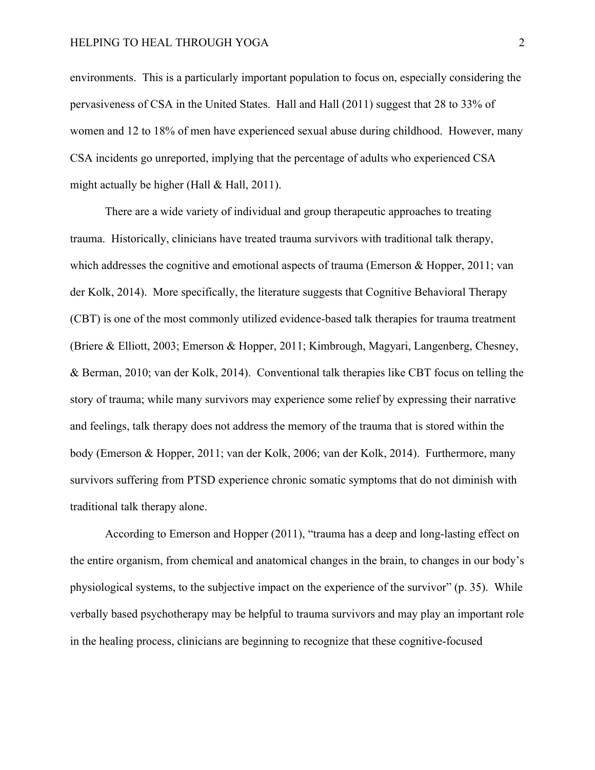environments. This is a particularly important population to focus on, especially considering the pervasiveness of CSA in the United States. Hall and Hall (2011) suggest that 28 to 33% of women and 12 to 18% of men have experienced sexual abuse during childhood. However, many CSA incidents go unreported, implying that the percentage of adults who experienced CSA might actually be higher (Hall & Hall, 2011).

There are a wide variety of individual and group therapeutic approaches to treating trauma. Historically, clinicians have treated trauma survivors with traditional talk therapy, which addresses the cognitive and emotional aspects of trauma (Emerson & Hopper, 2011; van der Kolk, 2014). More specifically, the literature suggests that Cognitive Behavioral Therapy (CBT) is one of the most commonly utilized evidence-based talk therapies for trauma treatment (Briere & Elliott, 2003; Emerson & Hopper, 2011; Kimbrough, Magyari, Langenberg, Chesney, & Berman, 2010; van der Kolk, 2014). Conventional talk therapies like CBT focus on telling the story of trauma; while many survivors may experience some relief by expressing their narrative and feelings, talk therapy does not address the memory of the trauma that is stored within the body (Emerson & Hopper, 2011; van der Kolk, 2006; van der Kolk, 2014). Furthermore, many survivors suffering from PTSD experience chronic somatic symptoms that do not diminish with traditional talk therapy alone.

According to Emerson and Hopper (2011), "trauma has a deep and long-lasting effect on the entire organism, from chemical and anatomical changes in the brain, to changes in our body's physiological systems, to the subjective impact on the experience of the survivor" (p. 35). While verbally based psychotherapy may be helpful to trauma survivors and may play an important role in the healing process, clinicians are beginning to recognize that these cognitive-focused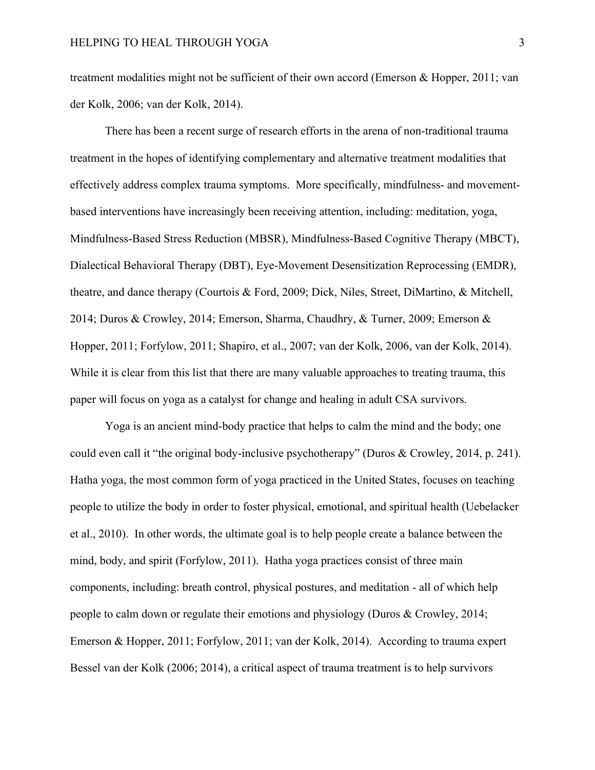treatment modalities might not be sufficient of their own accord (Emerson & Hopper, 2011; van der Kolk, 2006; van der Kolk, 2014).

There has been a recent surge of research efforts in the arena of non-traditional trauma treatment in the hopes of identifying complementary and alternative treatment modalities that effectively address complex trauma symptoms. More specifically, mindfulness- and movementbased interventions have increasingly been receiving attention, including: meditation, yoga, Mindfulness-Based Stress Reduction (MBSR), Mindfulness-Based Cognitive Therapy (MBCT), Dialectical Behavioral Therapy (DBT), Eye-Movement Desensitization Reprocessing (EMDR), theatre, and dance therapy (Courtois & Ford, 2009; Dick, Niles, Street, DiMartino, & Mitchell, 2014; Duros & Crowley, 2014; Emerson, Sharma, Chaudhry, & Turner, 2009; Emerson & Hopper, 2011; Forfylow, 2011; Shapiro, et al., 2007; van der Kolk, 2006, van der Kolk, 2014). While it is clear from this list that there are many valuable approaches to treating trauma, this paper will focus on yoga as a catalyst for change and healing in adult CSA survivors.

Yoga is an ancient mind-body practice that helps to calm the mind and the body; one could even call it "the original body-inclusive psychotherapy" (Duros & Crowley, 2014, p. 241). Hatha yoga, the most common form of yoga practiced in the United States, focuses on teaching people to utilize the body in order to foster physical, emotional, and spiritual health (Uebelacker et al., 2010). In other words, the ultimate goal is to help people create a balance between the mind, body, and spirit (Forfylow, 2011). Hatha yoga practices consist of three main components, including: breath control, physical postures, and meditation - all of which help people to calm down or regulate their emotions and physiology (Duros & Crowley, 2014; Emerson & Hopper, 2011; Forfylow, 2011; van der Kolk, 2014). According to trauma expert Bessel van der Kolk (2006; 2014), a critical aspect of trauma treatment is to help survivors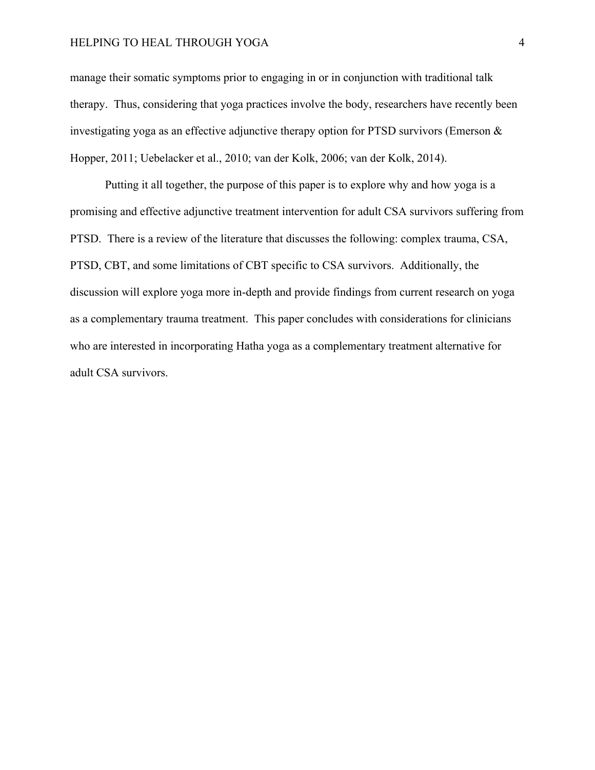manage their somatic symptoms prior to engaging in or in conjunction with traditional talk therapy. Thus, considering that yoga practices involve the body, researchers have recently been investigating yoga as an effective adjunctive therapy option for PTSD survivors (Emerson & Hopper, 2011; Uebelacker et al., 2010; van der Kolk, 2006; van der Kolk, 2014).

Putting it all together, the purpose of this paper is to explore why and how yoga is a promising and effective adjunctive treatment intervention for adult CSA survivors suffering from PTSD. There is a review of the literature that discusses the following: complex trauma, CSA, PTSD, CBT, and some limitations of CBT specific to CSA survivors. Additionally, the discussion will explore yoga more in-depth and provide findings from current research on yoga as a complementary trauma treatment. This paper concludes with considerations for clinicians who are interested in incorporating Hatha yoga as a complementary treatment alternative for adult CSA survivors.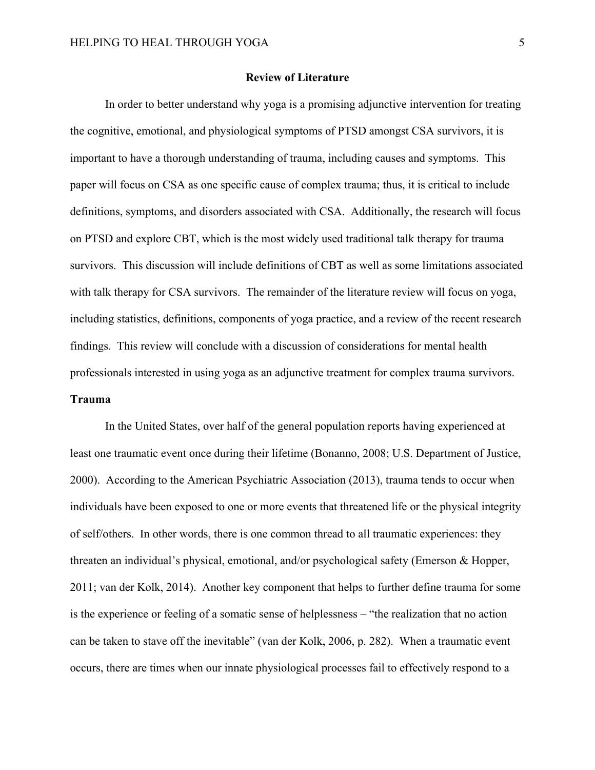#### **Review of Literature**

In order to better understand why yoga is a promising adjunctive intervention for treating the cognitive, emotional, and physiological symptoms of PTSD amongst CSA survivors, it is important to have a thorough understanding of trauma, including causes and symptoms. This paper will focus on CSA as one specific cause of complex trauma; thus, it is critical to include definitions, symptoms, and disorders associated with CSA. Additionally, the research will focus on PTSD and explore CBT, which is the most widely used traditional talk therapy for trauma survivors. This discussion will include definitions of CBT as well as some limitations associated with talk therapy for CSA survivors. The remainder of the literature review will focus on yoga, including statistics, definitions, components of yoga practice, and a review of the recent research findings. This review will conclude with a discussion of considerations for mental health professionals interested in using yoga as an adjunctive treatment for complex trauma survivors. **Trauma**

In the United States, over half of the general population reports having experienced at least one traumatic event once during their lifetime (Bonanno, 2008; U.S. Department of Justice, 2000). According to the American Psychiatric Association (2013), trauma tends to occur when individuals have been exposed to one or more events that threatened life or the physical integrity of self/others. In other words, there is one common thread to all traumatic experiences: they threaten an individual's physical, emotional, and/or psychological safety (Emerson & Hopper, 2011; van der Kolk, 2014). Another key component that helps to further define trauma for some is the experience or feeling of a somatic sense of helplessness – "the realization that no action can be taken to stave off the inevitable" (van der Kolk, 2006, p. 282). When a traumatic event occurs, there are times when our innate physiological processes fail to effectively respond to a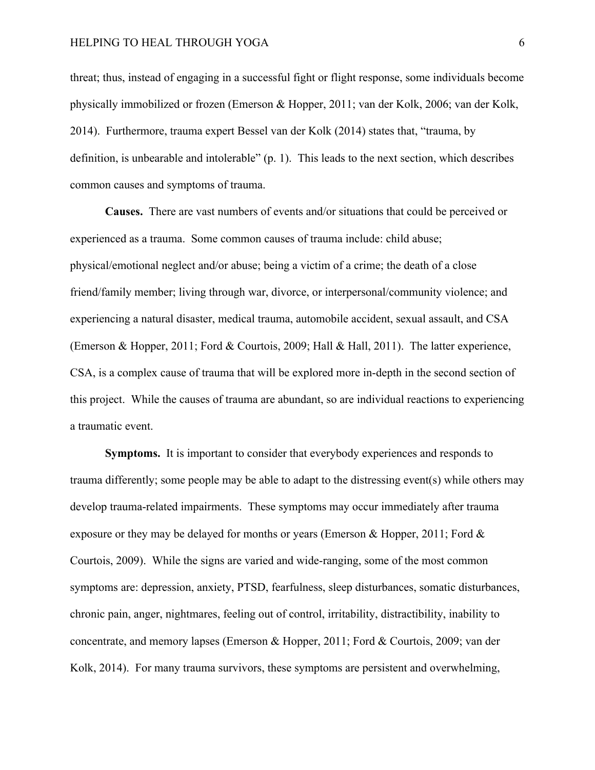threat; thus, instead of engaging in a successful fight or flight response, some individuals become physically immobilized or frozen (Emerson & Hopper, 2011; van der Kolk, 2006; van der Kolk, 2014). Furthermore, trauma expert Bessel van der Kolk (2014) states that, "trauma, by definition, is unbearable and intolerable" (p. 1). This leads to the next section, which describes common causes and symptoms of trauma.

**Causes.**There are vast numbers of events and/or situations that could be perceived or experienced as a trauma. Some common causes of trauma include: child abuse; physical/emotional neglect and/or abuse; being a victim of a crime; the death of a close friend/family member; living through war, divorce, or interpersonal/community violence; and experiencing a natural disaster, medical trauma, automobile accident, sexual assault, and CSA (Emerson & Hopper, 2011; Ford & Courtois, 2009; Hall & Hall, 2011). The latter experience, CSA, is a complex cause of trauma that will be explored more in-depth in the second section of this project. While the causes of trauma are abundant, so are individual reactions to experiencing a traumatic event.

**Symptoms.**It is important to consider that everybody experiences and responds to trauma differently; some people may be able to adapt to the distressing event(s) while others may develop trauma-related impairments. These symptoms may occur immediately after trauma exposure or they may be delayed for months or years (Emerson & Hopper, 2011; Ford  $\&$ Courtois, 2009). While the signs are varied and wide-ranging, some of the most common symptoms are: depression, anxiety, PTSD, fearfulness, sleep disturbances, somatic disturbances, chronic pain, anger, nightmares, feeling out of control, irritability, distractibility, inability to concentrate, and memory lapses (Emerson & Hopper, 2011; Ford & Courtois, 2009; van der Kolk, 2014). For many trauma survivors, these symptoms are persistent and overwhelming,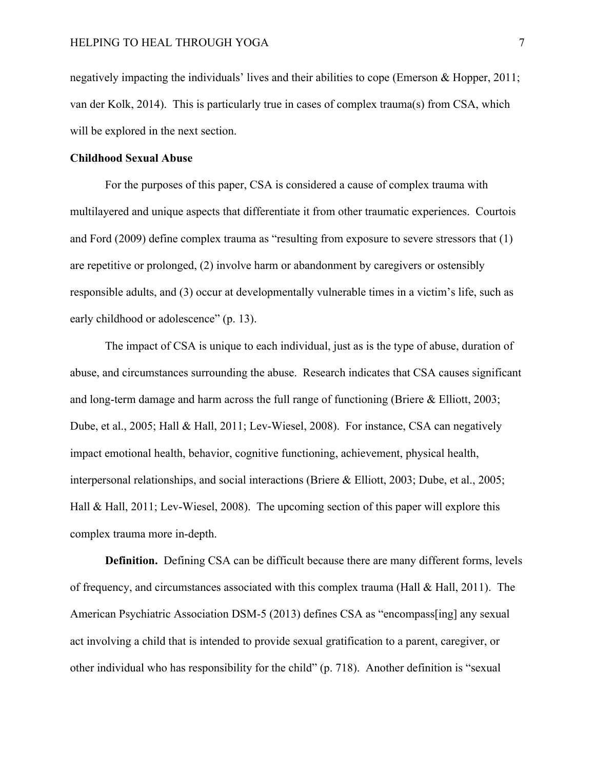negatively impacting the individuals' lives and their abilities to cope (Emerson & Hopper, 2011; van der Kolk, 2014). This is particularly true in cases of complex trauma(s) from CSA, which will be explored in the next section.

#### **Childhood Sexual Abuse**

For the purposes of this paper, CSA is considered a cause of complex trauma with multilayered and unique aspects that differentiate it from other traumatic experiences. Courtois and Ford (2009) define complex trauma as "resulting from exposure to severe stressors that (1) are repetitive or prolonged, (2) involve harm or abandonment by caregivers or ostensibly responsible adults, and (3) occur at developmentally vulnerable times in a victim's life, such as early childhood or adolescence" (p. 13).

The impact of CSA is unique to each individual, just as is the type of abuse, duration of abuse, and circumstances surrounding the abuse. Research indicates that CSA causes significant and long-term damage and harm across the full range of functioning (Briere & Elliott, 2003; Dube, et al., 2005; Hall & Hall, 2011; Lev-Wiesel, 2008). For instance, CSA can negatively impact emotional health, behavior, cognitive functioning, achievement, physical health, interpersonal relationships, and social interactions (Briere & Elliott, 2003; Dube, et al., 2005; Hall & Hall, 2011; Lev-Wiesel, 2008). The upcoming section of this paper will explore this complex trauma more in-depth.

**Definition.**Defining CSA can be difficult because there are many different forms, levels of frequency, and circumstances associated with this complex trauma (Hall & Hall, 2011). The American Psychiatric Association DSM-5 (2013) defines CSA as "encompass[ing] any sexual act involving a child that is intended to provide sexual gratification to a parent, caregiver, or other individual who has responsibility for the child" (p. 718). Another definition is "sexual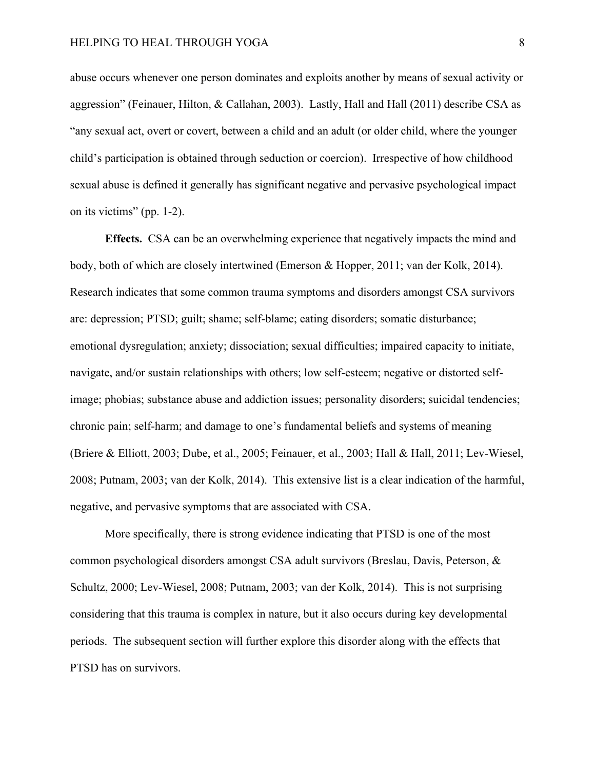abuse occurs whenever one person dominates and exploits another by means of sexual activity or aggression" (Feinauer, Hilton, & Callahan, 2003). Lastly, Hall and Hall (2011) describe CSA as "any sexual act, overt or covert, between a child and an adult (or older child, where the younger child's participation is obtained through seduction or coercion). Irrespective of how childhood sexual abuse is defined it generally has significant negative and pervasive psychological impact on its victims" (pp. 1-2).

**Effects.** CSA can be an overwhelming experience that negatively impacts the mind and body, both of which are closely intertwined (Emerson & Hopper, 2011; van der Kolk, 2014). Research indicates that some common trauma symptoms and disorders amongst CSA survivors are: depression; PTSD; guilt; shame; self-blame; eating disorders; somatic disturbance; emotional dysregulation; anxiety; dissociation; sexual difficulties; impaired capacity to initiate, navigate, and/or sustain relationships with others; low self-esteem; negative or distorted selfimage; phobias; substance abuse and addiction issues; personality disorders; suicidal tendencies; chronic pain; self-harm; and damage to one's fundamental beliefs and systems of meaning (Briere & Elliott, 2003; Dube, et al., 2005; Feinauer, et al., 2003; Hall & Hall, 2011; Lev-Wiesel, 2008; Putnam, 2003; van der Kolk, 2014). This extensive list is a clear indication of the harmful, negative, and pervasive symptoms that are associated with CSA.

More specifically, there is strong evidence indicating that PTSD is one of the most common psychological disorders amongst CSA adult survivors (Breslau, Davis, Peterson, & Schultz, 2000; Lev-Wiesel, 2008; Putnam, 2003; van der Kolk, 2014). This is not surprising considering that this trauma is complex in nature, but it also occurs during key developmental periods. The subsequent section will further explore this disorder along with the effects that PTSD has on survivors.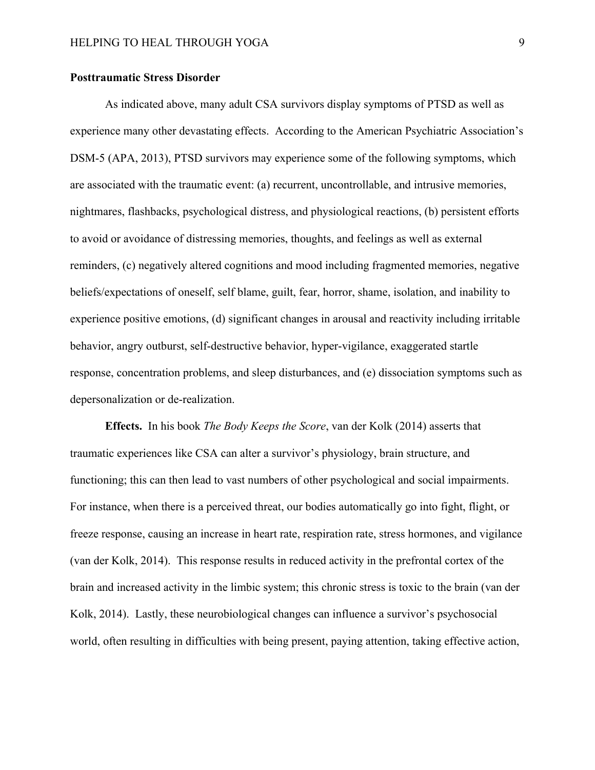#### **Posttraumatic Stress Disorder**

As indicated above, many adult CSA survivors display symptoms of PTSD as well as experience many other devastating effects. According to the American Psychiatric Association's DSM-5 (APA, 2013), PTSD survivors may experience some of the following symptoms, which are associated with the traumatic event: (a) recurrent, uncontrollable, and intrusive memories, nightmares, flashbacks, psychological distress, and physiological reactions, (b) persistent efforts to avoid or avoidance of distressing memories, thoughts, and feelings as well as external reminders, (c) negatively altered cognitions and mood including fragmented memories, negative beliefs/expectations of oneself, self blame, guilt, fear, horror, shame, isolation, and inability to experience positive emotions, (d) significant changes in arousal and reactivity including irritable behavior, angry outburst, self-destructive behavior, hyper-vigilance, exaggerated startle response, concentration problems, and sleep disturbances, and (e) dissociation symptoms such as depersonalization or de-realization.

**Effects.** In his book *The Body Keeps the Score*, van der Kolk (2014) asserts that traumatic experiences like CSA can alter a survivor's physiology, brain structure, and functioning; this can then lead to vast numbers of other psychological and social impairments. For instance, when there is a perceived threat, our bodies automatically go into fight, flight, or freeze response, causing an increase in heart rate, respiration rate, stress hormones, and vigilance (van der Kolk, 2014). This response results in reduced activity in the prefrontal cortex of the brain and increased activity in the limbic system; this chronic stress is toxic to the brain (van der Kolk, 2014). Lastly, these neurobiological changes can influence a survivor's psychosocial world, often resulting in difficulties with being present, paying attention, taking effective action,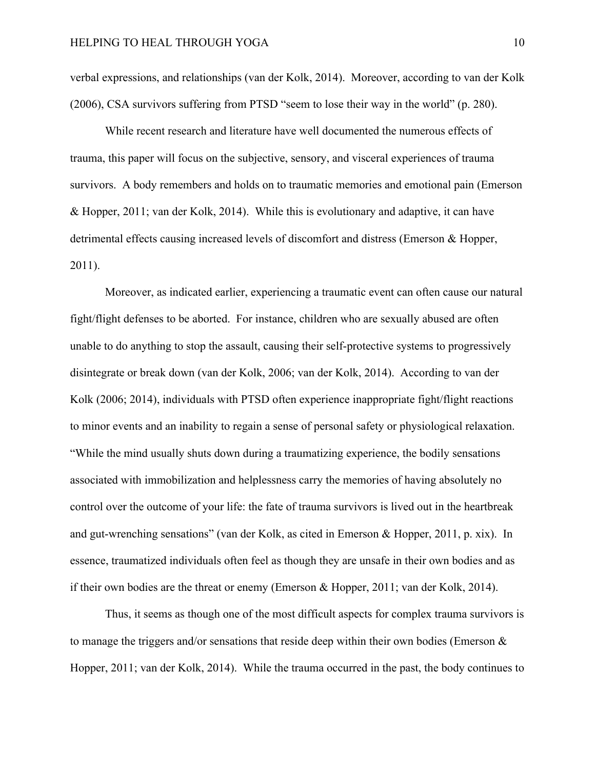verbal expressions, and relationships (van der Kolk, 2014). Moreover, according to van der Kolk (2006), CSA survivors suffering from PTSD "seem to lose their way in the world" (p. 280).

While recent research and literature have well documented the numerous effects of trauma, this paper will focus on the subjective, sensory, and visceral experiences of trauma survivors. A body remembers and holds on to traumatic memories and emotional pain (Emerson & Hopper, 2011; van der Kolk, 2014). While this is evolutionary and adaptive, it can have detrimental effects causing increased levels of discomfort and distress (Emerson & Hopper, 2011).

Moreover, as indicated earlier, experiencing a traumatic event can often cause our natural fight/flight defenses to be aborted. For instance, children who are sexually abused are often unable to do anything to stop the assault, causing their self-protective systems to progressively disintegrate or break down (van der Kolk, 2006; van der Kolk, 2014). According to van der Kolk (2006; 2014), individuals with PTSD often experience inappropriate fight/flight reactions to minor events and an inability to regain a sense of personal safety or physiological relaxation. "While the mind usually shuts down during a traumatizing experience, the bodily sensations associated with immobilization and helplessness carry the memories of having absolutely no control over the outcome of your life: the fate of trauma survivors is lived out in the heartbreak and gut-wrenching sensations" (van der Kolk, as cited in Emerson & Hopper, 2011, p. xix). In essence, traumatized individuals often feel as though they are unsafe in their own bodies and as if their own bodies are the threat or enemy (Emerson & Hopper, 2011; van der Kolk, 2014).

Thus, it seems as though one of the most difficult aspects for complex trauma survivors is to manage the triggers and/or sensations that reside deep within their own bodies (Emerson & Hopper, 2011; van der Kolk, 2014). While the trauma occurred in the past, the body continues to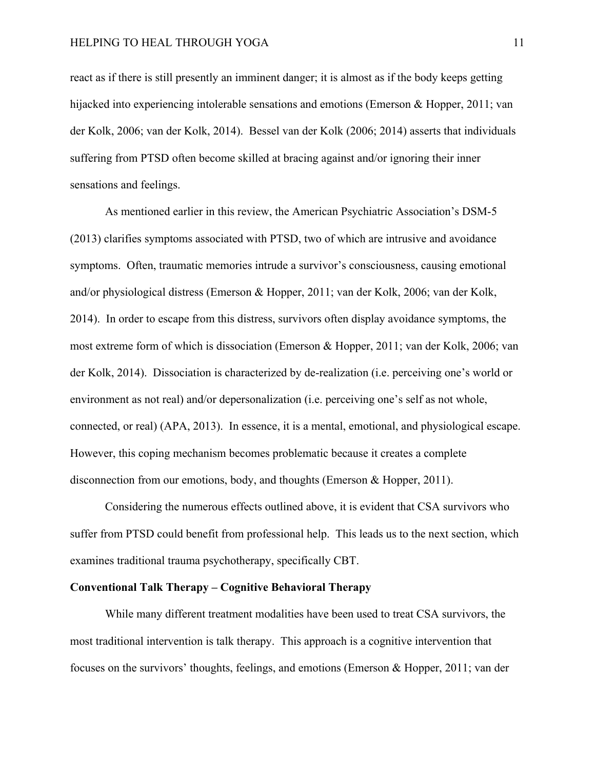react as if there is still presently an imminent danger; it is almost as if the body keeps getting hijacked into experiencing intolerable sensations and emotions (Emerson & Hopper, 2011; van der Kolk, 2006; van der Kolk, 2014). Bessel van der Kolk (2006; 2014) asserts that individuals suffering from PTSD often become skilled at bracing against and/or ignoring their inner sensations and feelings.

As mentioned earlier in this review, the American Psychiatric Association's DSM-5 (2013) clarifies symptoms associated with PTSD, two of which are intrusive and avoidance symptoms. Often, traumatic memories intrude a survivor's consciousness, causing emotional and/or physiological distress (Emerson & Hopper, 2011; van der Kolk, 2006; van der Kolk, 2014). In order to escape from this distress, survivors often display avoidance symptoms, the most extreme form of which is dissociation (Emerson & Hopper, 2011; van der Kolk, 2006; van der Kolk, 2014). Dissociation is characterized by de-realization (i.e. perceiving one's world or environment as not real) and/or depersonalization (i.e. perceiving one's self as not whole, connected, or real) (APA, 2013). In essence, it is a mental, emotional, and physiological escape. However, this coping mechanism becomes problematic because it creates a complete disconnection from our emotions, body, and thoughts (Emerson & Hopper, 2011).

Considering the numerous effects outlined above, it is evident that CSA survivors who suffer from PTSD could benefit from professional help. This leads us to the next section, which examines traditional trauma psychotherapy, specifically CBT.

#### **Conventional Talk Therapy – Cognitive Behavioral Therapy**

While many different treatment modalities have been used to treat CSA survivors, the most traditional intervention is talk therapy. This approach is a cognitive intervention that focuses on the survivors' thoughts, feelings, and emotions (Emerson & Hopper, 2011; van der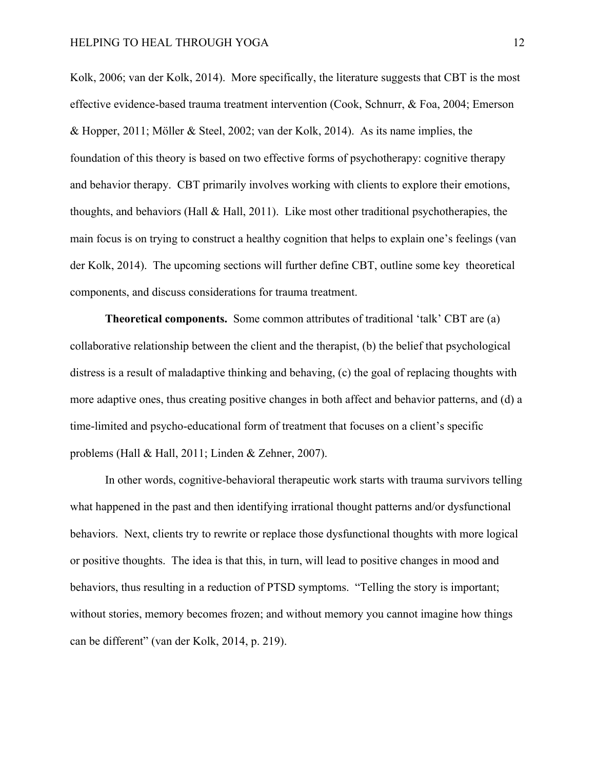Kolk, 2006; van der Kolk, 2014). More specifically, the literature suggests that CBT is the most effective evidence-based trauma treatment intervention (Cook, Schnurr, & Foa, 2004; Emerson & Hopper, 2011; Möller & Steel, 2002; van der Kolk, 2014). As its name implies, the foundation of this theory is based on two effective forms of psychotherapy: cognitive therapy and behavior therapy. CBT primarily involves working with clients to explore their emotions, thoughts, and behaviors (Hall & Hall, 2011). Like most other traditional psychotherapies, the main focus is on trying to construct a healthy cognition that helps to explain one's feelings (van der Kolk, 2014). The upcoming sections will further define CBT, outline some key theoretical components, and discuss considerations for trauma treatment.

**Theoretical components.** Some common attributes of traditional 'talk' CBT are (a) collaborative relationship between the client and the therapist, (b) the belief that psychological distress is a result of maladaptive thinking and behaving, (c) the goal of replacing thoughts with more adaptive ones, thus creating positive changes in both affect and behavior patterns, and (d) a time-limited and psycho-educational form of treatment that focuses on a client's specific problems (Hall & Hall, 2011; Linden & Zehner, 2007).

In other words, cognitive-behavioral therapeutic work starts with trauma survivors telling what happened in the past and then identifying irrational thought patterns and/or dysfunctional behaviors. Next, clients try to rewrite or replace those dysfunctional thoughts with more logical or positive thoughts. The idea is that this, in turn, will lead to positive changes in mood and behaviors, thus resulting in a reduction of PTSD symptoms. "Telling the story is important; without stories, memory becomes frozen; and without memory you cannot imagine how things can be different" (van der Kolk, 2014, p. 219).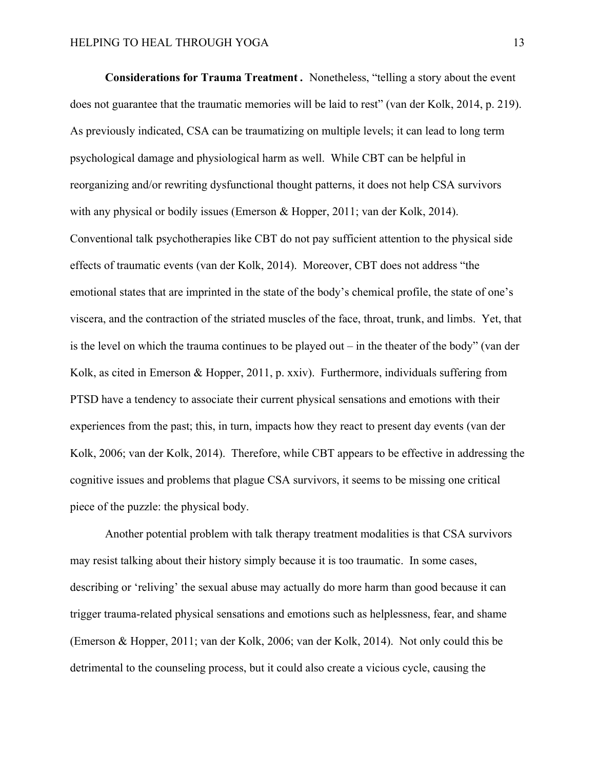**Considerations for Trauma Treatment** *.* Nonetheless, "telling a story about the event does not guarantee that the traumatic memories will be laid to rest" (van der Kolk, 2014, p. 219). As previously indicated, CSA can be traumatizing on multiple levels; it can lead to long term psychological damage and physiological harm as well. While CBT can be helpful in reorganizing and/or rewriting dysfunctional thought patterns, it does not help CSA survivors with any physical or bodily issues (Emerson & Hopper, 2011; van der Kolk, 2014). Conventional talk psychotherapies like CBT do not pay sufficient attention to the physical side effects of traumatic events (van der Kolk, 2014). Moreover, CBT does not address "the emotional states that are imprinted in the state of the body's chemical profile, the state of one's viscera, and the contraction of the striated muscles of the face, throat, trunk, and limbs. Yet, that is the level on which the trauma continues to be played out – in the theater of the body" (van der Kolk, as cited in Emerson & Hopper, 2011, p. xxiv). Furthermore, individuals suffering from PTSD have a tendency to associate their current physical sensations and emotions with their experiences from the past; this, in turn, impacts how they react to present day events (van der Kolk, 2006; van der Kolk, 2014). Therefore, while CBT appears to be effective in addressing the cognitive issues and problems that plague CSA survivors, it seems to be missing one critical piece of the puzzle: the physical body.

Another potential problem with talk therapy treatment modalities is that CSA survivors may resist talking about their history simply because it is too traumatic. In some cases, describing or 'reliving' the sexual abuse may actually do more harm than good because it can trigger trauma-related physical sensations and emotions such as helplessness, fear, and shame (Emerson & Hopper, 2011; van der Kolk, 2006; van der Kolk, 2014). Not only could this be detrimental to the counseling process, but it could also create a vicious cycle, causing the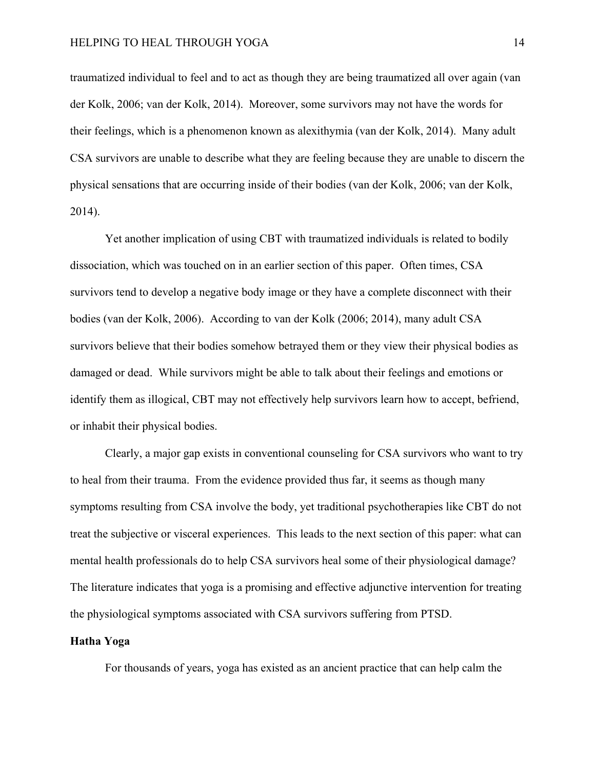traumatized individual to feel and to act as though they are being traumatized all over again (van der Kolk, 2006; van der Kolk, 2014). Moreover, some survivors may not have the words for their feelings, which is a phenomenon known as alexithymia (van der Kolk, 2014). Many adult CSA survivors are unable to describe what they are feeling because they are unable to discern the physical sensations that are occurring inside of their bodies (van der Kolk, 2006; van der Kolk, 2014).

Yet another implication of using CBT with traumatized individuals is related to bodily dissociation, which was touched on in an earlier section of this paper. Often times, CSA survivors tend to develop a negative body image or they have a complete disconnect with their bodies (van der Kolk, 2006). According to van der Kolk (2006; 2014), many adult CSA survivors believe that their bodies somehow betrayed them or they view their physical bodies as damaged or dead. While survivors might be able to talk about their feelings and emotions or identify them as illogical, CBT may not effectively help survivors learn how to accept, befriend, or inhabit their physical bodies.

Clearly, a major gap exists in conventional counseling for CSA survivors who want to try to heal from their trauma. From the evidence provided thus far, it seems as though many symptoms resulting from CSA involve the body, yet traditional psychotherapies like CBT do not treat the subjective or visceral experiences. This leads to the next section of this paper: what can mental health professionals do to help CSA survivors heal some of their physiological damage? The literature indicates that yoga is a promising and effective adjunctive intervention for treating the physiological symptoms associated with CSA survivors suffering from PTSD.

#### **Hatha Yoga**

For thousands of years, yoga has existed as an ancient practice that can help calm the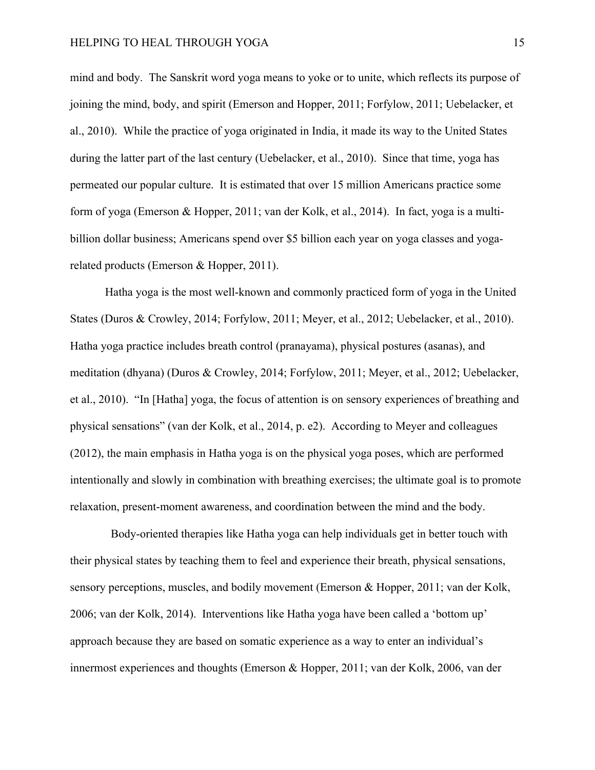mind and body. The Sanskrit word yoga means to yoke or to unite, which reflects its purpose of joining the mind, body, and spirit (Emerson and Hopper, 2011; Forfylow, 2011; Uebelacker, et al., 2010). While the practice of yoga originated in India, it made its way to the United States during the latter part of the last century (Uebelacker, et al., 2010). Since that time, yoga has permeated our popular culture. It is estimated that over 15 million Americans practice some form of yoga (Emerson & Hopper, 2011; van der Kolk, et al., 2014). In fact, yoga is a multibillion dollar business; Americans spend over \$5 billion each year on yoga classes and yogarelated products (Emerson & Hopper, 2011).

Hatha yoga is the most well-known and commonly practiced form of yoga in the United States (Duros & Crowley, 2014; Forfylow, 2011; Meyer, et al., 2012; Uebelacker, et al., 2010). Hatha yoga practice includes breath control (pranayama), physical postures (asanas), and meditation (dhyana) (Duros & Crowley, 2014; Forfylow, 2011; Meyer, et al., 2012; Uebelacker, et al., 2010). "In [Hatha] yoga, the focus of attention is on sensory experiences of breathing and physical sensations" (van der Kolk, et al., 2014, p. e2). According to Meyer and colleagues (2012), the main emphasis in Hatha yoga is on the physical yoga poses, which are performed intentionally and slowly in combination with breathing exercises; the ultimate goal is to promote relaxation, present-moment awareness, and coordination between the mind and the body.

Body-oriented therapies like Hatha yoga can help individuals get in better touch with their physical states by teaching them to feel and experience their breath, physical sensations, sensory perceptions, muscles, and bodily movement (Emerson & Hopper, 2011; van der Kolk, 2006; van der Kolk, 2014). Interventions like Hatha yoga have been called a 'bottom up' approach because they are based on somatic experience as a way to enter an individual's innermost experiences and thoughts (Emerson & Hopper, 2011; van der Kolk, 2006, van der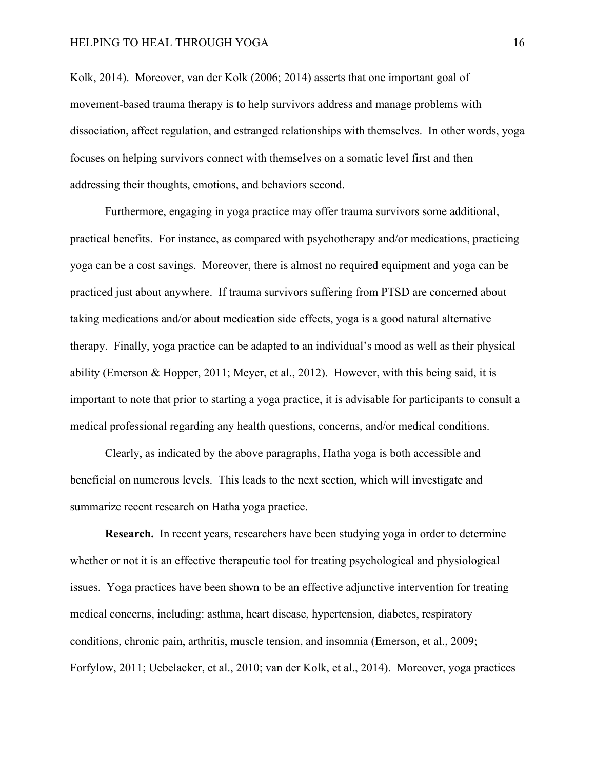Kolk, 2014). Moreover, van der Kolk (2006; 2014) asserts that one important goal of movement-based trauma therapy is to help survivors address and manage problems with dissociation, affect regulation, and estranged relationships with themselves. In other words, yoga focuses on helping survivors connect with themselves on a somatic level first and then addressing their thoughts, emotions, and behaviors second.

Furthermore, engaging in yoga practice may offer trauma survivors some additional, practical benefits. For instance, as compared with psychotherapy and/or medications, practicing yoga can be a cost savings. Moreover, there is almost no required equipment and yoga can be practiced just about anywhere. If trauma survivors suffering from PTSD are concerned about taking medications and/or about medication side effects, yoga is a good natural alternative therapy. Finally, yoga practice can be adapted to an individual's mood as well as their physical ability (Emerson & Hopper, 2011; Meyer, et al., 2012). However, with this being said, it is important to note that prior to starting a yoga practice, it is advisable for participants to consult a medical professional regarding any health questions, concerns, and/or medical conditions.

Clearly, as indicated by the above paragraphs, Hatha yoga is both accessible and beneficial on numerous levels. This leads to the next section, which will investigate and summarize recent research on Hatha yoga practice.

**Research.** In recent years, researchers have been studying yoga in order to determine whether or not it is an effective therapeutic tool for treating psychological and physiological issues. Yoga practices have been shown to be an effective adjunctive intervention for treating medical concerns, including: asthma, heart disease, hypertension, diabetes, respiratory conditions, chronic pain, arthritis, muscle tension, and insomnia (Emerson, et al., 2009; Forfylow, 2011; Uebelacker, et al., 2010; van der Kolk, et al., 2014). Moreover, yoga practices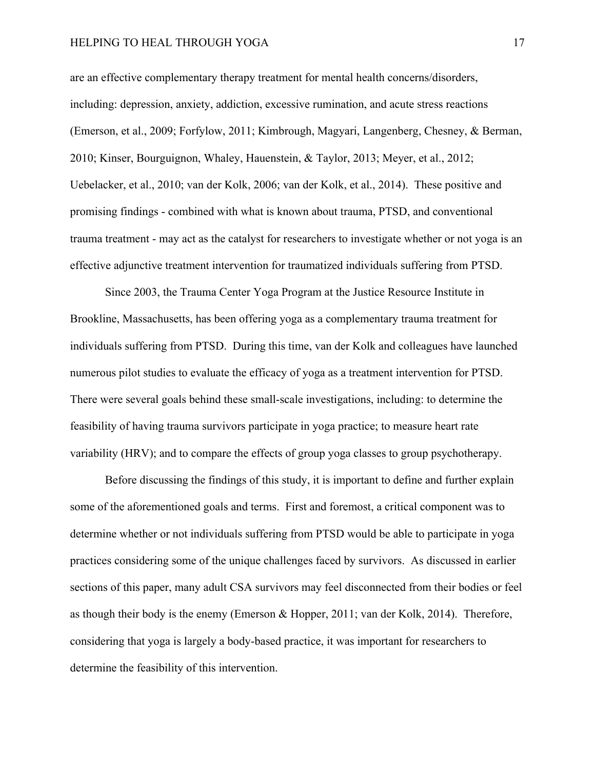are an effective complementary therapy treatment for mental health concerns/disorders, including: depression, anxiety, addiction, excessive rumination, and acute stress reactions (Emerson, et al., 2009; Forfylow, 2011; Kimbrough, Magyari, Langenberg, Chesney, & Berman, 2010; Kinser, Bourguignon, Whaley, Hauenstein, & Taylor, 2013; Meyer, et al., 2012; Uebelacker, et al., 2010; van der Kolk, 2006; van der Kolk, et al., 2014). These positive and promising findings - combined with what is known about trauma, PTSD, and conventional trauma treatment - may act as the catalyst for researchers to investigate whether or not yoga is an effective adjunctive treatment intervention for traumatized individuals suffering from PTSD.

Since 2003, the Trauma Center Yoga Program at the Justice Resource Institute in Brookline, Massachusetts, has been offering yoga as a complementary trauma treatment for individuals suffering from PTSD. During this time, van der Kolk and colleagues have launched numerous pilot studies to evaluate the efficacy of yoga as a treatment intervention for PTSD. There were several goals behind these small-scale investigations, including: to determine the feasibility of having trauma survivors participate in yoga practice; to measure heart rate variability (HRV); and to compare the effects of group yoga classes to group psychotherapy.

Before discussing the findings of this study, it is important to define and further explain some of the aforementioned goals and terms. First and foremost, a critical component was to determine whether or not individuals suffering from PTSD would be able to participate in yoga practices considering some of the unique challenges faced by survivors. As discussed in earlier sections of this paper, many adult CSA survivors may feel disconnected from their bodies or feel as though their body is the enemy (Emerson & Hopper, 2011; van der Kolk, 2014). Therefore, considering that yoga is largely a body-based practice, it was important for researchers to determine the feasibility of this intervention.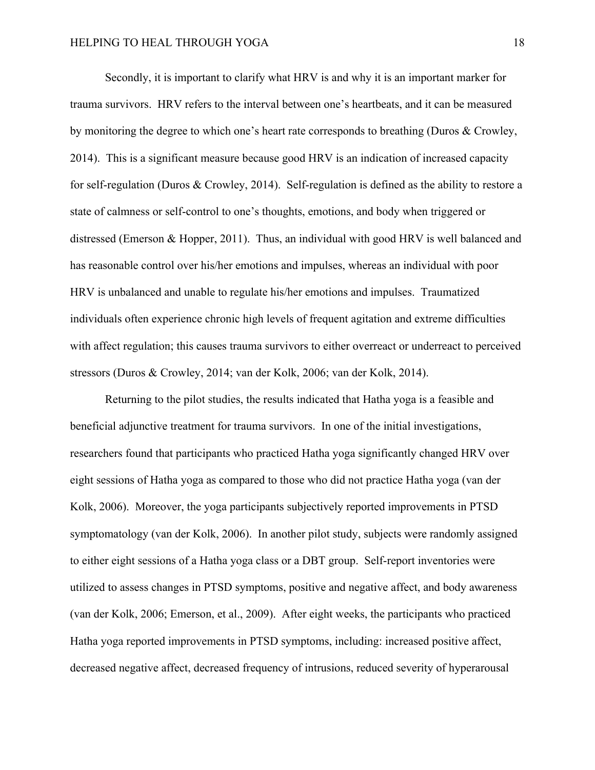Secondly, it is important to clarify what HRV is and why it is an important marker for trauma survivors. HRV refers to the interval between one's heartbeats, and it can be measured by monitoring the degree to which one's heart rate corresponds to breathing (Duros & Crowley, 2014). This is a significant measure because good HRV is an indication of increased capacity for self-regulation (Duros & Crowley, 2014). Self-regulation is defined as the ability to restore a state of calmness or self-control to one's thoughts, emotions, and body when triggered or distressed (Emerson & Hopper, 2011). Thus, an individual with good HRV is well balanced and has reasonable control over his/her emotions and impulses, whereas an individual with poor HRV is unbalanced and unable to regulate his/her emotions and impulses. Traumatized individuals often experience chronic high levels of frequent agitation and extreme difficulties with affect regulation; this causes trauma survivors to either overreact or underreact to perceived stressors (Duros & Crowley, 2014; van der Kolk, 2006; van der Kolk, 2014).

Returning to the pilot studies, the results indicated that Hatha yoga is a feasible and beneficial adjunctive treatment for trauma survivors. In one of the initial investigations, researchers found that participants who practiced Hatha yoga significantly changed HRV over eight sessions of Hatha yoga as compared to those who did not practice Hatha yoga (van der Kolk, 2006). Moreover, the yoga participants subjectively reported improvements in PTSD symptomatology (van der Kolk, 2006). In another pilot study, subjects were randomly assigned to either eight sessions of a Hatha yoga class or a DBT group. Self-report inventories were utilized to assess changes in PTSD symptoms, positive and negative affect, and body awareness (van der Kolk, 2006; Emerson, et al., 2009). After eight weeks, the participants who practiced Hatha yoga reported improvements in PTSD symptoms, including: increased positive affect, decreased negative affect, decreased frequency of intrusions, reduced severity of hyperarousal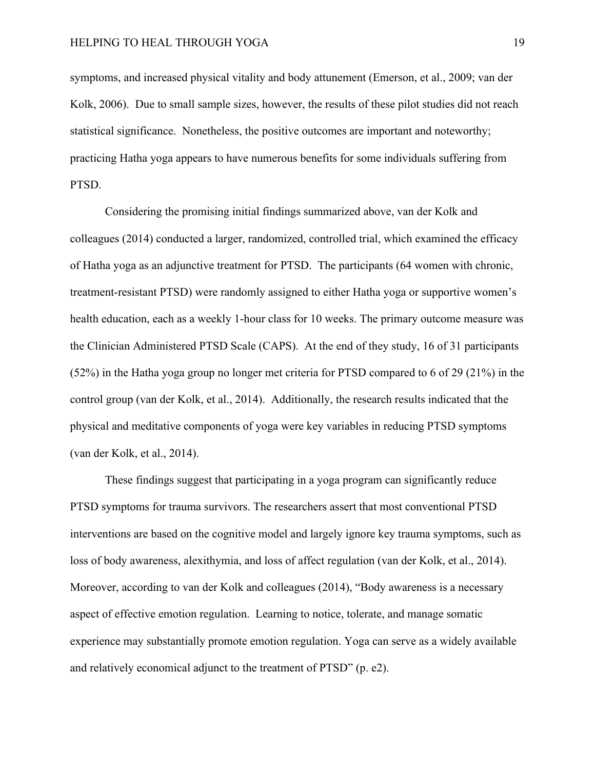symptoms, and increased physical vitality and body attunement (Emerson, et al., 2009; van der Kolk, 2006). Due to small sample sizes, however, the results of these pilot studies did not reach statistical significance. Nonetheless, the positive outcomes are important and noteworthy; practicing Hatha yoga appears to have numerous benefits for some individuals suffering from PTSD.

Considering the promising initial findings summarized above, van der Kolk and colleagues (2014) conducted a larger, randomized, controlled trial, which examined the efficacy of Hatha yoga as an adjunctive treatment for PTSD. The participants (64 women with chronic, treatment-resistant PTSD) were randomly assigned to either Hatha yoga or supportive women's health education, each as a weekly 1-hour class for 10 weeks. The primary outcome measure was the Clinician Administered PTSD Scale (CAPS). At the end of they study, 16 of 31 participants (52%) in the Hatha yoga group no longer met criteria for PTSD compared to 6 of 29 (21%) in the control group (van der Kolk, et al., 2014). Additionally, the research results indicated that the physical and meditative components of yoga were key variables in reducing PTSD symptoms (van der Kolk, et al., 2014).

These findings suggest that participating in a yoga program can significantly reduce PTSD symptoms for trauma survivors. The researchers assert that most conventional PTSD interventions are based on the cognitive model and largely ignore key trauma symptoms, such as loss of body awareness, alexithymia, and loss of affect regulation (van der Kolk, et al., 2014). Moreover, according to van der Kolk and colleagues (2014), "Body awareness is a necessary aspect of effective emotion regulation. Learning to notice, tolerate, and manage somatic experience may substantially promote emotion regulation. Yoga can serve as a widely available and relatively economical adjunct to the treatment of PTSD" (p. e2).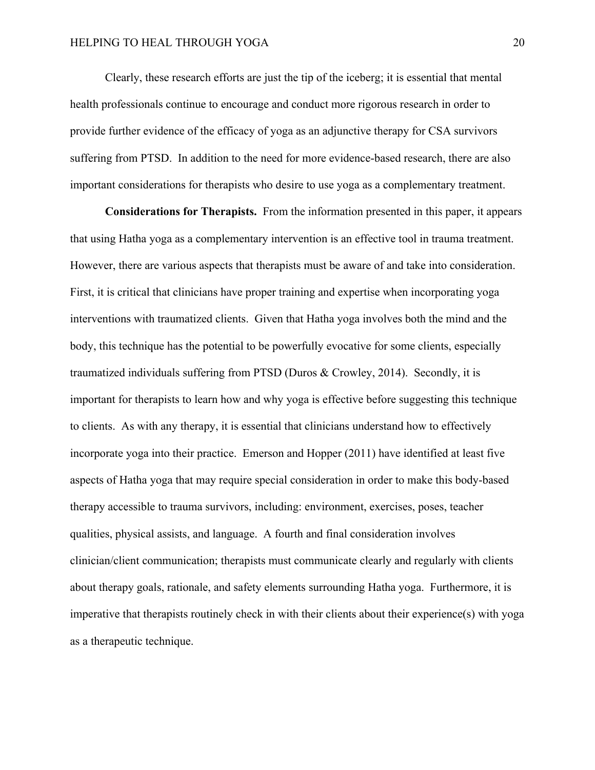Clearly, these research efforts are just the tip of the iceberg; it is essential that mental health professionals continue to encourage and conduct more rigorous research in order to provide further evidence of the efficacy of yoga as an adjunctive therapy for CSA survivors suffering from PTSD. In addition to the need for more evidence-based research, there are also important considerations for therapists who desire to use yoga as a complementary treatment.

**Considerations for Therapists.** From the information presented in this paper, it appears that using Hatha yoga as a complementary intervention is an effective tool in trauma treatment. However, there are various aspects that therapists must be aware of and take into consideration. First, it is critical that clinicians have proper training and expertise when incorporating yoga interventions with traumatized clients. Given that Hatha yoga involves both the mind and the body, this technique has the potential to be powerfully evocative for some clients, especially traumatized individuals suffering from PTSD (Duros & Crowley, 2014). Secondly, it is important for therapists to learn how and why yoga is effective before suggesting this technique to clients. As with any therapy, it is essential that clinicians understand how to effectively incorporate yoga into their practice. Emerson and Hopper (2011) have identified at least five aspects of Hatha yoga that may require special consideration in order to make this body-based therapy accessible to trauma survivors, including: environment, exercises, poses, teacher qualities, physical assists, and language. A fourth and final consideration involves clinician/client communication; therapists must communicate clearly and regularly with clients about therapy goals, rationale, and safety elements surrounding Hatha yoga. Furthermore, it is imperative that therapists routinely check in with their clients about their experience(s) with yoga as a therapeutic technique.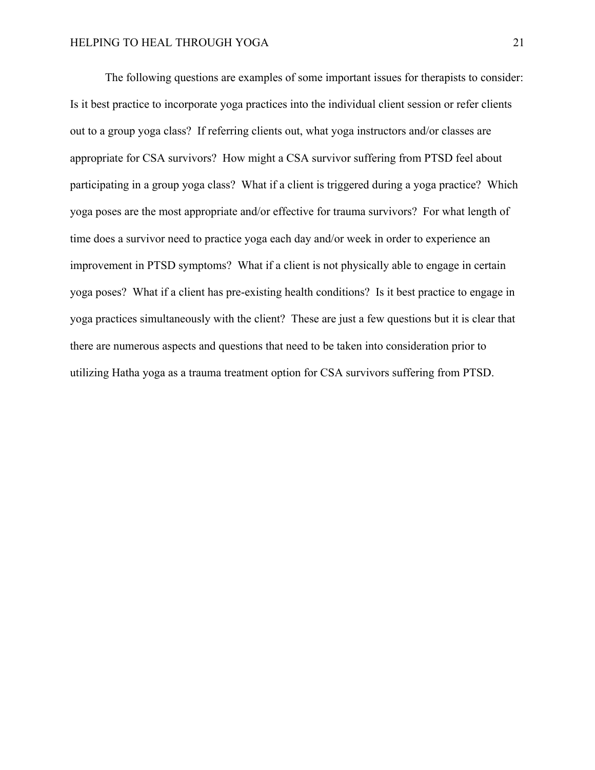The following questions are examples of some important issues for therapists to consider: Is it best practice to incorporate yoga practices into the individual client session or refer clients out to a group yoga class? If referring clients out, what yoga instructors and/or classes are appropriate for CSA survivors? How might a CSA survivor suffering from PTSD feel about participating in a group yoga class? What if a client is triggered during a yoga practice? Which yoga poses are the most appropriate and/or effective for trauma survivors? For what length of time does a survivor need to practice yoga each day and/or week in order to experience an improvement in PTSD symptoms? What if a client is not physically able to engage in certain yoga poses? What if a client has pre-existing health conditions? Is it best practice to engage in yoga practices simultaneously with the client? These are just a few questions but it is clear that there are numerous aspects and questions that need to be taken into consideration prior to utilizing Hatha yoga as a trauma treatment option for CSA survivors suffering from PTSD.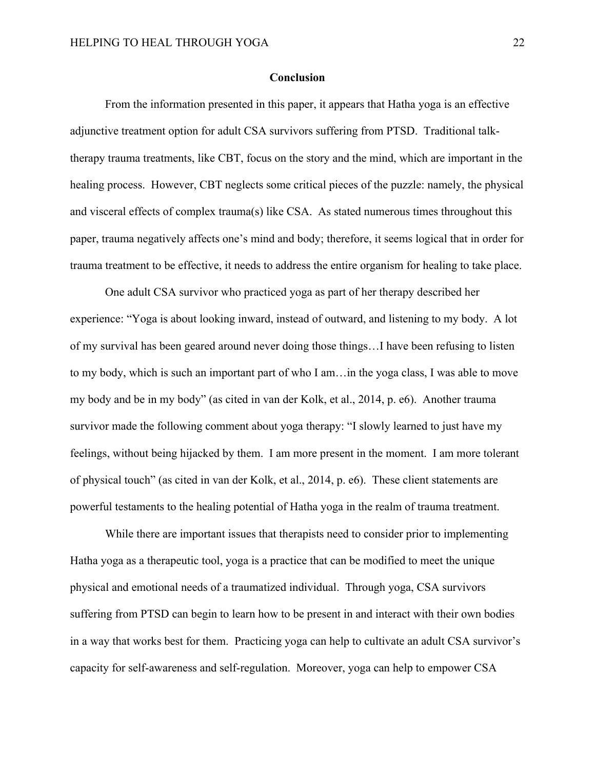#### **Conclusion**

From the information presented in this paper, it appears that Hatha yoga is an effective adjunctive treatment option for adult CSA survivors suffering from PTSD. Traditional talktherapy trauma treatments, like CBT, focus on the story and the mind, which are important in the healing process. However, CBT neglects some critical pieces of the puzzle: namely, the physical and visceral effects of complex trauma(s) like CSA. As stated numerous times throughout this paper, trauma negatively affects one's mind and body; therefore, it seems logical that in order for trauma treatment to be effective, it needs to address the entire organism for healing to take place.

One adult CSA survivor who practiced yoga as part of her therapy described her experience: "Yoga is about looking inward, instead of outward, and listening to my body. A lot of my survival has been geared around never doing those things…I have been refusing to listen to my body, which is such an important part of who I am…in the yoga class, I was able to move my body and be in my body" (as cited in van der Kolk, et al., 2014, p. e6). Another trauma survivor made the following comment about yoga therapy: "I slowly learned to just have my feelings, without being hijacked by them. I am more present in the moment. I am more tolerant of physical touch" (as cited in van der Kolk, et al., 2014, p. e6). These client statements are powerful testaments to the healing potential of Hatha yoga in the realm of trauma treatment.

While there are important issues that therapists need to consider prior to implementing Hatha yoga as a therapeutic tool, yoga is a practice that can be modified to meet the unique physical and emotional needs of a traumatized individual. Through yoga, CSA survivors suffering from PTSD can begin to learn how to be present in and interact with their own bodies in a way that works best for them. Practicing yoga can help to cultivate an adult CSA survivor's capacity for self-awareness and self-regulation. Moreover, yoga can help to empower CSA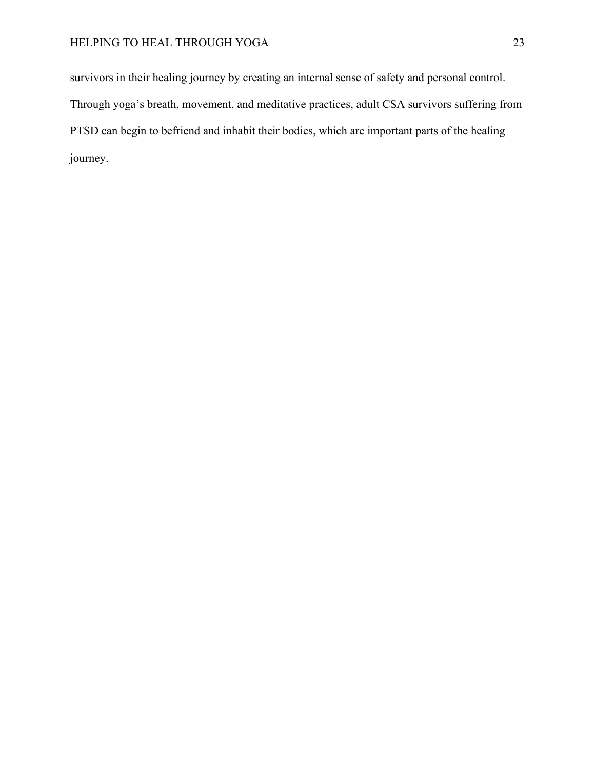survivors in their healing journey by creating an internal sense of safety and personal control. Through yoga's breath, movement, and meditative practices, adult CSA survivors suffering from PTSD can begin to befriend and inhabit their bodies, which are important parts of the healing journey.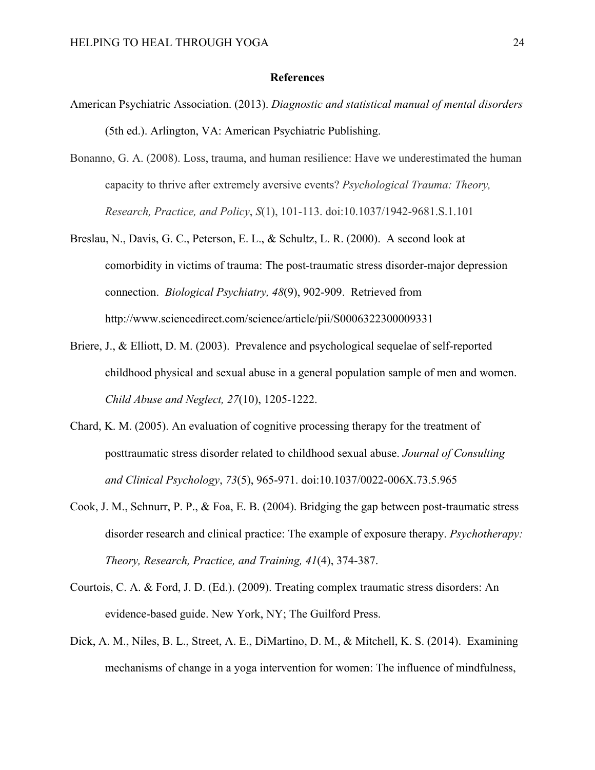#### **References**

- American Psychiatric Association. (2013). *Diagnostic and statistical manual of mental disorders*  (5th ed.). Arlington, VA: American Psychiatric Publishing.
- Bonanno, G. A. (2008). Loss, trauma, and human resilience: Have we underestimated the human capacity to thrive after extremely aversive events? *Psychological Trauma: Theory, Research, Practice, and Policy*, *S*(1), 101-113. doi:10.1037/1942-9681.S.1.101
- Breslau, N., Davis, G. C., Peterson, E. L., & Schultz, L. R. (2000). A second look at comorbidity in victims of trauma: The post-traumatic stress disorder-major depression connection. *Biological Psychiatry, 48*(9), 902-909. Retrieved from http://www.sciencedirect.com/science/article/pii/S0006322300009331
- Briere, J., & Elliott, D. M. (2003). Prevalence and psychological sequelae of self-reported childhood physical and sexual abuse in a general population sample of men and women. *Child Abuse and Neglect, 27*(10), 1205-1222.
- Chard, K. M. (2005). An evaluation of cognitive processing therapy for the treatment of posttraumatic stress disorder related to childhood sexual abuse. *Journal of Consulting and Clinical Psychology*, *73*(5), 965-971. doi:10.1037/0022-006X.73.5.965
- Cook, J. M., Schnurr, P. P., & Foa, E. B. (2004). Bridging the gap between post-traumatic stress disorder research and clinical practice: The example of exposure therapy. *Psychotherapy: Theory, Research, Practice, and Training, 41*(4), 374-387.
- Courtois, C. A. & Ford, J. D. (Ed.). (2009). Treating complex traumatic stress disorders: An evidence-based guide. New York, NY; The Guilford Press.
- Dick, A. M., Niles, B. L., Street, A. E., DiMartino, D. M., & Mitchell, K. S. (2014). Examining mechanisms of change in a yoga intervention for women: The influence of mindfulness,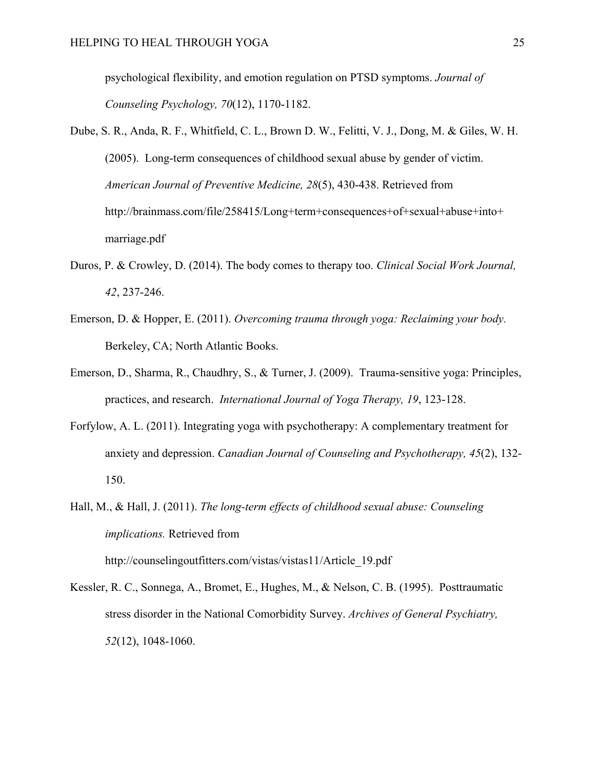psychological flexibility, and emotion regulation on PTSD symptoms. *Journal of Counseling Psychology, 70*(12), 1170-1182.

- Dube, S. R., Anda, R. F., Whitfield, C. L., Brown D. W., Felitti, V. J., Dong, M. & Giles, W. H. (2005). Long-term consequences of childhood sexual abuse by gender of victim. *American Journal of Preventive Medicine, 28*(5), 430-438. Retrieved from http://brainmass.com/file/258415/Long+term+consequences+of+sexual+abuse+into+ marriage.pdf
- Duros, P. & Crowley, D. (2014). The body comes to therapy too. *Clinical Social Work Journal, 42*, 237-246.
- Emerson, D. & Hopper, E. (2011). *Overcoming trauma through yoga: Reclaiming your body.* Berkeley, CA; North Atlantic Books.
- Emerson, D., Sharma, R., Chaudhry, S., & Turner, J. (2009). Trauma-sensitive yoga: Principles, practices, and research. *International Journal of Yoga Therapy, 19*, 123-128.
- Forfylow, A. L. (2011). Integrating yoga with psychotherapy: A complementary treatment for anxiety and depression. *Canadian Journal of Counseling and Psychotherapy, 45*(2), 132- 150.
- Hall, M., & Hall, J. (2011). *The long-term effects of childhood sexual abuse: Counseling implications.* Retrieved from http://counselingoutfitters.com/vistas/vistas11/Article\_19.pdf
- Kessler, R. C., Sonnega, A., Bromet, E., Hughes, M., & Nelson, C. B. (1995). Posttraumatic stress disorder in the National Comorbidity Survey. *Archives of General Psychiatry, 52*(12), 1048-1060.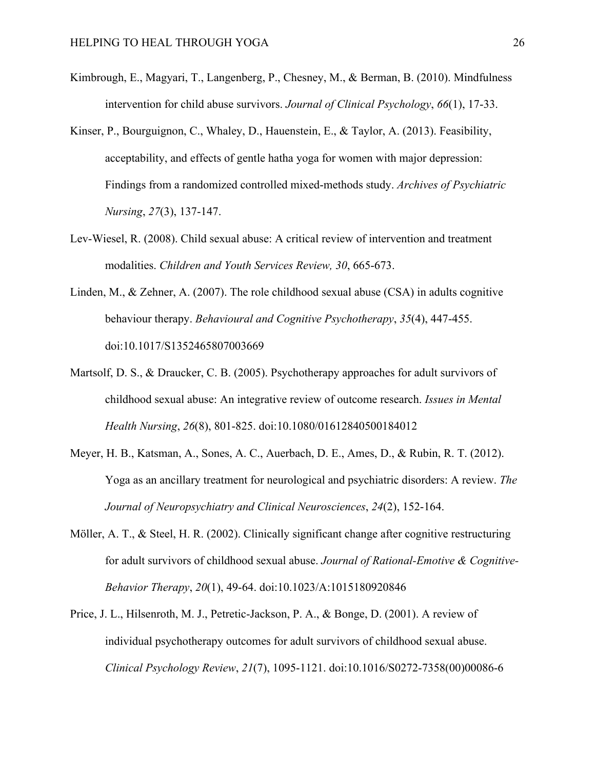- Kimbrough, E., Magyari, T., Langenberg, P., Chesney, M., & Berman, B. (2010). Mindfulness intervention for child abuse survivors. *Journal of Clinical Psychology*, *66*(1), 17-33.
- Kinser, P., Bourguignon, C., Whaley, D., Hauenstein, E., & Taylor, A. (2013). Feasibility, acceptability, and effects of gentle hatha yoga for women with major depression: Findings from a randomized controlled mixed-methods study. *Archives of Psychiatric Nursing*, *27*(3), 137-147.
- Lev-Wiesel, R. (2008). Child sexual abuse: A critical review of intervention and treatment modalities. *Children and Youth Services Review, 30*, 665-673.
- Linden, M., & Zehner, A. (2007). The role childhood sexual abuse (CSA) in adults cognitive behaviour therapy. *Behavioural and Cognitive Psychotherapy*, *35*(4), 447-455. doi:10.1017/S1352465807003669
- Martsolf, D. S., & Draucker, C. B. (2005). Psychotherapy approaches for adult survivors of childhood sexual abuse: An integrative review of outcome research. *Issues in Mental Health Nursing*, *26*(8), 801-825. doi:10.1080/01612840500184012
- Meyer, H. B., Katsman, A., Sones, A. C., Auerbach, D. E., Ames, D., & Rubin, R. T. (2012). Yoga as an ancillary treatment for neurological and psychiatric disorders: A review. *The Journal of Neuropsychiatry and Clinical Neurosciences*, *24*(2), 152-164.
- Möller, A. T., & Steel, H. R. (2002). Clinically significant change after cognitive restructuring for adult survivors of childhood sexual abuse. *Journal of Rational-Emotive & Cognitive-Behavior Therapy*, *20*(1), 49-64. doi:10.1023/A:1015180920846
- Price, J. L., Hilsenroth, M. J., Petretic-Jackson, P. A., & Bonge, D. (2001). A review of individual psychotherapy outcomes for adult survivors of childhood sexual abuse. *Clinical Psychology Review*, *21*(7), 1095-1121. doi:10.1016/S0272-7358(00)00086-6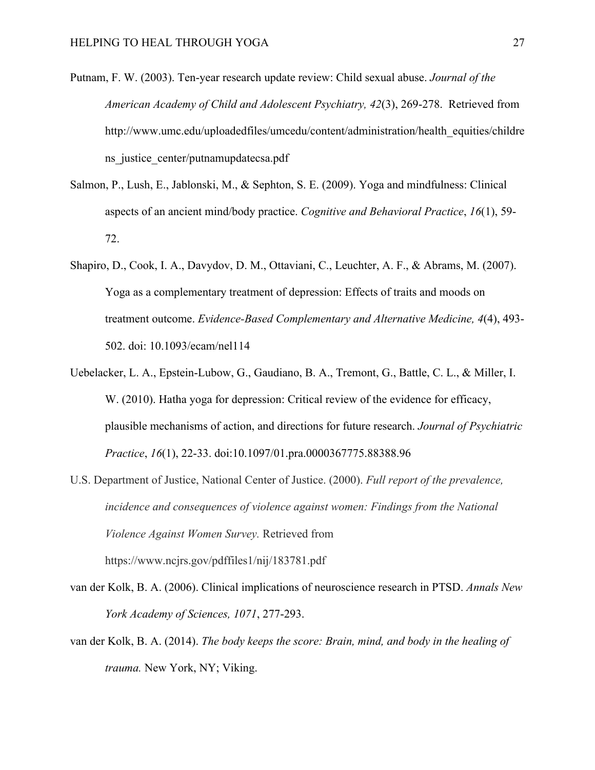- Putnam, F. W. (2003). Ten-year research update review: Child sexual abuse. *Journal of the American Academy of Child and Adolescent Psychiatry, 42*(3), 269-278. Retrieved from http://www.umc.edu/uploadedfiles/umcedu/content/administration/health\_equities/childre ns\_justice\_center/putnamupdatecsa.pdf
- Salmon, P., Lush, E., Jablonski, M., & Sephton, S. E. (2009). Yoga and mindfulness: Clinical aspects of an ancient mind/body practice. *Cognitive and Behavioral Practice*, *16*(1), 59- 72.
- Shapiro, D., Cook, I. A., Davydov, D. M., Ottaviani, C., Leuchter, A. F., & Abrams, M. (2007). Yoga as a complementary treatment of depression: Effects of traits and moods on treatment outcome. *Evidence-Based Complementary and Alternative Medicine, 4*(4), 493- 502. doi: 10.1093/ecam/nel114
- Uebelacker, L. A., Epstein-Lubow, G., Gaudiano, B. A., Tremont, G., Battle, C. L., & Miller, I. W. (2010). Hatha yoga for depression: Critical review of the evidence for efficacy, plausible mechanisms of action, and directions for future research. *Journal of Psychiatric Practice*, *16*(1), 22-33. doi:10.1097/01.pra.0000367775.88388.96
- U.S. Department of Justice, National Center of Justice. (2000). *Full report of the prevalence, incidence and consequences of violence against women: Findings from the National Violence Against Women Survey.* Retrieved from https://www.ncjrs.gov/pdffiles1/nij/183781.pdf
- van der Kolk, B. A. (2006). Clinical implications of neuroscience research in PTSD. *Annals New York Academy of Sciences, 1071*, 277-293.
- van der Kolk, B. A. (2014). *The body keeps the score: Brain, mind, and body in the healing of trauma.* New York, NY; Viking.